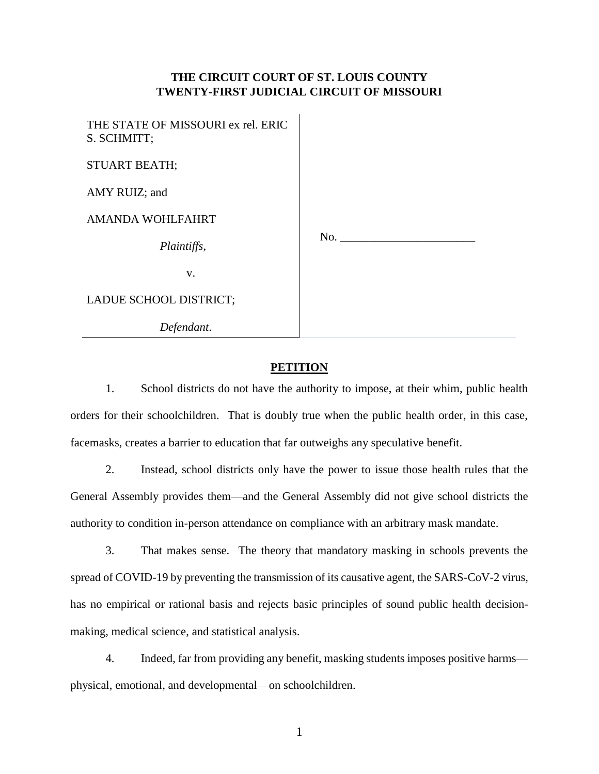# **THE CIRCUIT COURT OF ST. LOUIS COUNTY TWENTY-FIRST JUDICIAL CIRCUIT OF MISSOURI**

 $\mathbf{I}$ 

| THE STATE OF MISSOURI ex rel. ERIC<br>S. SCHMITT; |     |
|---------------------------------------------------|-----|
| <b>STUART BEATH;</b>                              |     |
| AMY RUIZ; and                                     |     |
| AMANDA WOHLFAHRT                                  |     |
| Plaintiffs,                                       | No. |
| V.                                                |     |
| LADUE SCHOOL DISTRICT;                            |     |
| Defendant.                                        |     |

# **PETITION**

1. School districts do not have the authority to impose, at their whim, public health orders for their schoolchildren. That is doubly true when the public health order, in this case, facemasks, creates a barrier to education that far outweighs any speculative benefit.

2. Instead, school districts only have the power to issue those health rules that the General Assembly provides them—and the General Assembly did not give school districts the authority to condition in-person attendance on compliance with an arbitrary mask mandate.

3. That makes sense. The theory that mandatory masking in schools prevents the spread of COVID-19 by preventing the transmission of its causative agent, the SARS-CoV-2 virus, has no empirical or rational basis and rejects basic principles of sound public health decisionmaking, medical science, and statistical analysis.

4. Indeed, far from providing any benefit, masking students imposes positive harms physical, emotional, and developmental—on schoolchildren.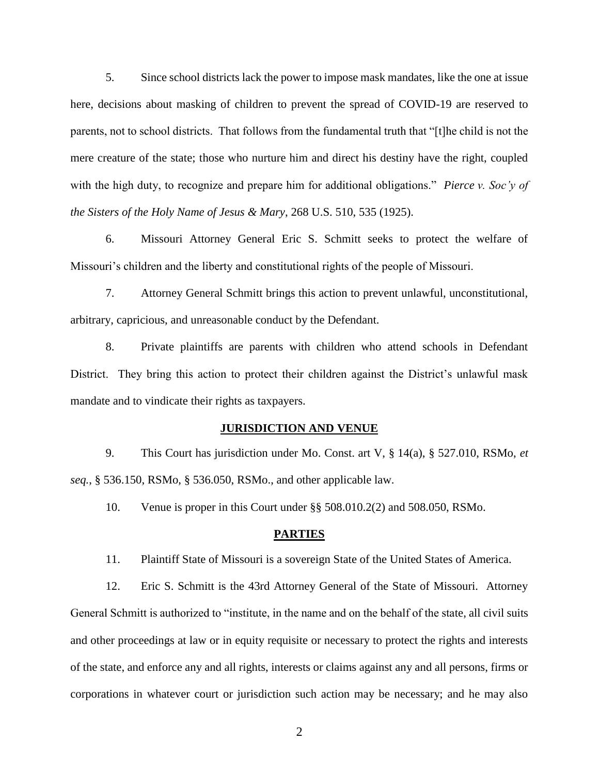5. Since school districts lack the power to impose mask mandates, like the one at issue here, decisions about masking of children to prevent the spread of COVID-19 are reserved to parents, not to school districts. That follows from the fundamental truth that "[t]he child is not the mere creature of the state; those who nurture him and direct his destiny have the right, coupled with the high duty, to recognize and prepare him for additional obligations." *Pierce v. Soc'y of the Sisters of the Holy Name of Jesus & Mary*, 268 U.S. 510, 535 (1925).

6. Missouri Attorney General Eric S. Schmitt seeks to protect the welfare of Missouri's children and the liberty and constitutional rights of the people of Missouri.

7. Attorney General Schmitt brings this action to prevent unlawful, unconstitutional, arbitrary, capricious, and unreasonable conduct by the Defendant.

8. Private plaintiffs are parents with children who attend schools in Defendant District. They bring this action to protect their children against the District's unlawful mask mandate and to vindicate their rights as taxpayers.

#### **JURISDICTION AND VENUE**

9. This Court has jurisdiction under Mo. Const. art V, § 14(a), § 527.010, RSMo, *et seq.*, § 536.150, RSMo, § 536.050, RSMo., and other applicable law.

10. Venue is proper in this Court under §§ 508.010.2(2) and 508.050, RSMo.

# **PARTIES**

11. Plaintiff State of Missouri is a sovereign State of the United States of America.

12. Eric S. Schmitt is the 43rd Attorney General of the State of Missouri. Attorney General Schmitt is authorized to "institute, in the name and on the behalf of the state, all civil suits and other proceedings at law or in equity requisite or necessary to protect the rights and interests of the state, and enforce any and all rights, interests or claims against any and all persons, firms or corporations in whatever court or jurisdiction such action may be necessary; and he may also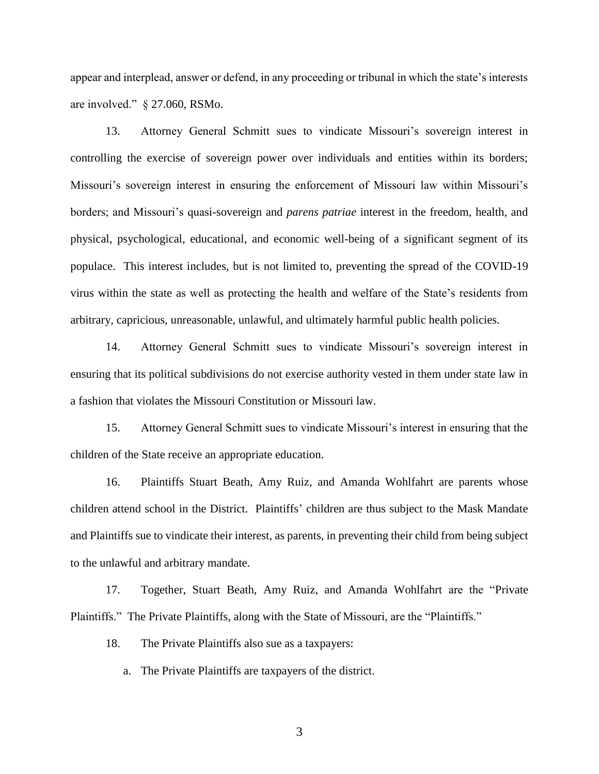appear and interplead, answer or defend, in any proceeding or tribunal in which the state's interests are involved." § 27.060, RSMo.

13. Attorney General Schmitt sues to vindicate Missouri's sovereign interest in controlling the exercise of sovereign power over individuals and entities within its borders; Missouri's sovereign interest in ensuring the enforcement of Missouri law within Missouri's borders; and Missouri's quasi-sovereign and *parens patriae* interest in the freedom, health, and physical, psychological, educational, and economic well-being of a significant segment of its populace. This interest includes, but is not limited to, preventing the spread of the COVID-19 virus within the state as well as protecting the health and welfare of the State's residents from arbitrary, capricious, unreasonable, unlawful, and ultimately harmful public health policies.

14. Attorney General Schmitt sues to vindicate Missouri's sovereign interest in ensuring that its political subdivisions do not exercise authority vested in them under state law in a fashion that violates the Missouri Constitution or Missouri law.

15. Attorney General Schmitt sues to vindicate Missouri's interest in ensuring that the children of the State receive an appropriate education.

16. Plaintiffs Stuart Beath, Amy Ruiz, and Amanda Wohlfahrt are parents whose children attend school in the District. Plaintiffs' children are thus subject to the Mask Mandate and Plaintiffs sue to vindicate their interest, as parents, in preventing their child from being subject to the unlawful and arbitrary mandate.

17. Together, Stuart Beath, Amy Ruiz, and Amanda Wohlfahrt are the "Private Plaintiffs." The Private Plaintiffs, along with the State of Missouri, are the "Plaintiffs."

18. The Private Plaintiffs also sue as a taxpayers:

a. The Private Plaintiffs are taxpayers of the district.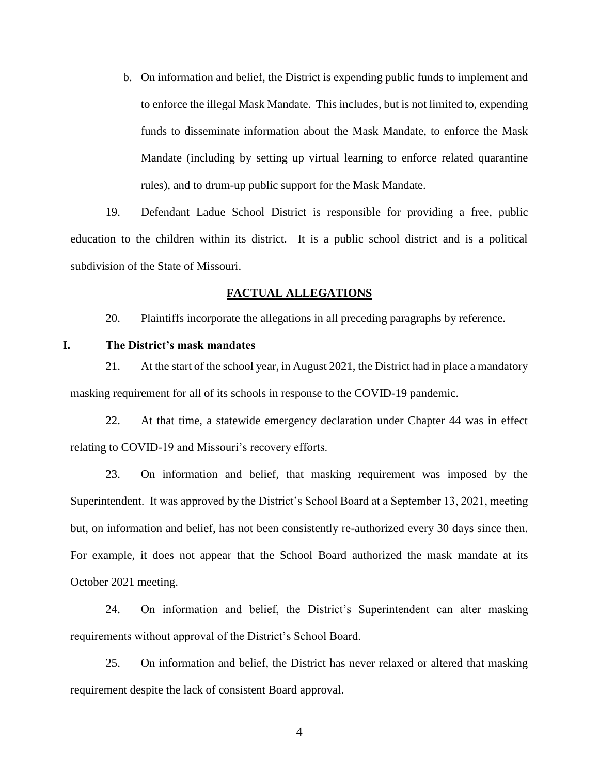b. On information and belief, the District is expending public funds to implement and to enforce the illegal Mask Mandate. This includes, but is not limited to, expending funds to disseminate information about the Mask Mandate, to enforce the Mask Mandate (including by setting up virtual learning to enforce related quarantine rules), and to drum-up public support for the Mask Mandate.

19. Defendant Ladue School District is responsible for providing a free, public education to the children within its district. It is a public school district and is a political subdivision of the State of Missouri.

#### **FACTUAL ALLEGATIONS**

20. Plaintiffs incorporate the allegations in all preceding paragraphs by reference.

# **I. The District's mask mandates**

21. At the start of the school year, in August 2021, the District had in place a mandatory masking requirement for all of its schools in response to the COVID-19 pandemic.

22. At that time, a statewide emergency declaration under Chapter 44 was in effect relating to COVID-19 and Missouri's recovery efforts.

23. On information and belief, that masking requirement was imposed by the Superintendent. It was approved by the District's School Board at a September 13, 2021, meeting but, on information and belief, has not been consistently re-authorized every 30 days since then. For example, it does not appear that the School Board authorized the mask mandate at its October 2021 meeting.

24. On information and belief, the District's Superintendent can alter masking requirements without approval of the District's School Board.

25. On information and belief, the District has never relaxed or altered that masking requirement despite the lack of consistent Board approval.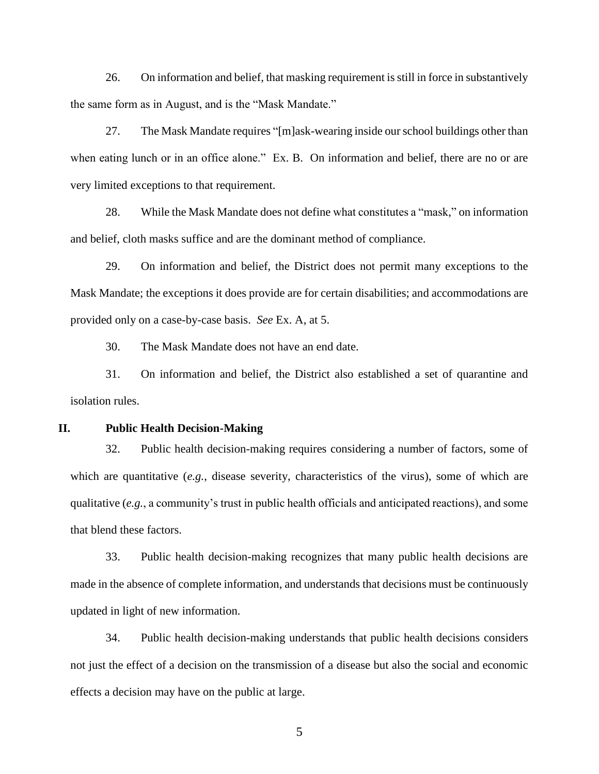26. On information and belief, that masking requirement is still in force in substantively the same form as in August, and is the "Mask Mandate."

27. The Mask Mandate requires "[m]ask-wearing inside our school buildings other than when eating lunch or in an office alone." Ex. B. On information and belief, there are no or are very limited exceptions to that requirement.

28. While the Mask Mandate does not define what constitutes a "mask," on information and belief, cloth masks suffice and are the dominant method of compliance.

29. On information and belief, the District does not permit many exceptions to the Mask Mandate; the exceptions it does provide are for certain disabilities; and accommodations are provided only on a case-by-case basis. *See* Ex. A, at 5.

30. The Mask Mandate does not have an end date.

31. On information and belief, the District also established a set of quarantine and isolation rules.

#### **II. Public Health Decision-Making**

32. Public health decision-making requires considering a number of factors, some of which are quantitative (*e.g.*, disease severity, characteristics of the virus), some of which are qualitative (*e.g.*, a community's trust in public health officials and anticipated reactions), and some that blend these factors.

33. Public health decision-making recognizes that many public health decisions are made in the absence of complete information, and understands that decisions must be continuously updated in light of new information.

34. Public health decision-making understands that public health decisions considers not just the effect of a decision on the transmission of a disease but also the social and economic effects a decision may have on the public at large.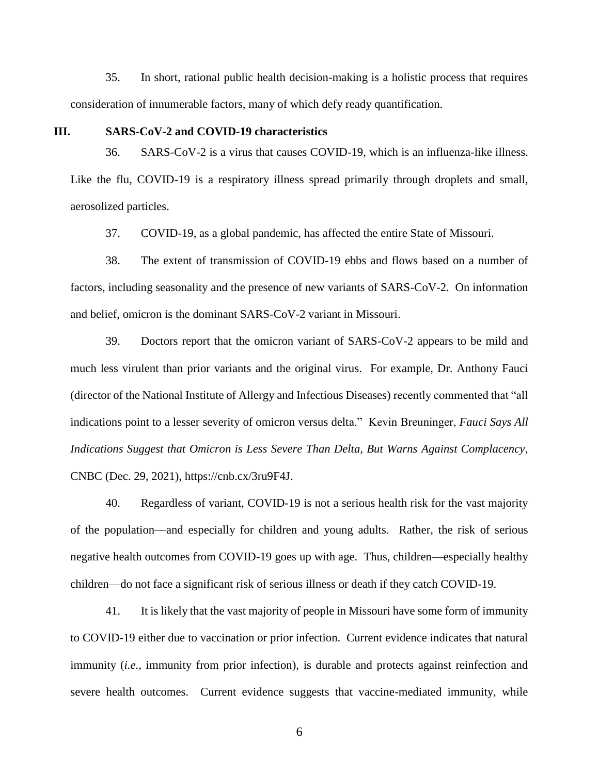35. In short, rational public health decision-making is a holistic process that requires consideration of innumerable factors, many of which defy ready quantification.

## **III. SARS-CoV-2 and COVID-19 characteristics**

36. SARS-CoV-2 is a virus that causes COVID-19, which is an influenza-like illness. Like the flu, COVID-19 is a respiratory illness spread primarily through droplets and small, aerosolized particles.

37. COVID-19, as a global pandemic, has affected the entire State of Missouri.

38. The extent of transmission of COVID-19 ebbs and flows based on a number of factors, including seasonality and the presence of new variants of SARS-CoV-2. On information and belief, omicron is the dominant SARS-CoV-2 variant in Missouri.

39. Doctors report that the omicron variant of SARS-CoV-2 appears to be mild and much less virulent than prior variants and the original virus. For example, Dr. Anthony Fauci (director of the National Institute of Allergy and Infectious Diseases) recently commented that "all indications point to a lesser severity of omicron versus delta." Kevin Breuninger, *Fauci Says All Indications Suggest that Omicron is Less Severe Than Delta, But Warns Against Complacency*, CNBC (Dec. 29, 2021), https://cnb.cx/3ru9F4J.

40. Regardless of variant, COVID-19 is not a serious health risk for the vast majority of the population—and especially for children and young adults. Rather, the risk of serious negative health outcomes from COVID-19 goes up with age. Thus, children—especially healthy children—do not face a significant risk of serious illness or death if they catch COVID-19.

41. It is likely that the vast majority of people in Missouri have some form of immunity to COVID-19 either due to vaccination or prior infection. Current evidence indicates that natural immunity (*i.e.*, immunity from prior infection), is durable and protects against reinfection and severe health outcomes. Current evidence suggests that vaccine-mediated immunity, while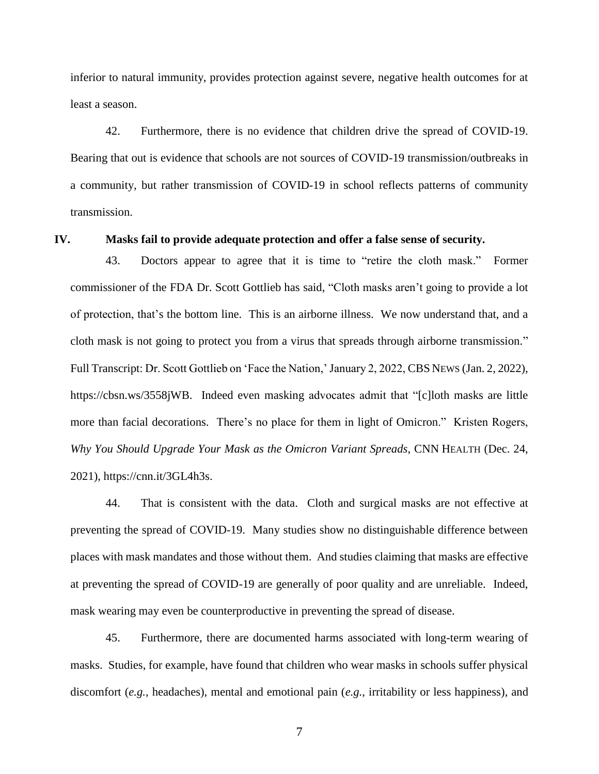inferior to natural immunity, provides protection against severe, negative health outcomes for at least a season.

42. Furthermore, there is no evidence that children drive the spread of COVID-19. Bearing that out is evidence that schools are not sources of COVID-19 transmission/outbreaks in a community, but rather transmission of COVID-19 in school reflects patterns of community transmission.

#### **IV. Masks fail to provide adequate protection and offer a false sense of security.**

43. Doctors appear to agree that it is time to "retire the cloth mask." Former commissioner of the FDA Dr. Scott Gottlieb has said, "Cloth masks aren't going to provide a lot of protection, that's the bottom line. This is an airborne illness. We now understand that, and a cloth mask is not going to protect you from a virus that spreads through airborne transmission." Full Transcript: Dr. Scott Gottlieb on 'Face the Nation,' January 2, 2022, CBS NEWS (Jan. 2, 2022), https://cbsn.ws/3558jWB. Indeed even masking advocates admit that "[c]loth masks are little more than facial decorations. There's no place for them in light of Omicron." Kristen Rogers, *Why You Should Upgrade Your Mask as the Omicron Variant Spreads*, CNN HEALTH (Dec. 24, 2021), https://cnn.it/3GL4h3s.

44. That is consistent with the data. Cloth and surgical masks are not effective at preventing the spread of COVID-19. Many studies show no distinguishable difference between places with mask mandates and those without them. And studies claiming that masks are effective at preventing the spread of COVID-19 are generally of poor quality and are unreliable. Indeed, mask wearing may even be counterproductive in preventing the spread of disease.

45. Furthermore, there are documented harms associated with long-term wearing of masks. Studies, for example, have found that children who wear masks in schools suffer physical discomfort (*e.g.*, headaches), mental and emotional pain (*e.g.*, irritability or less happiness), and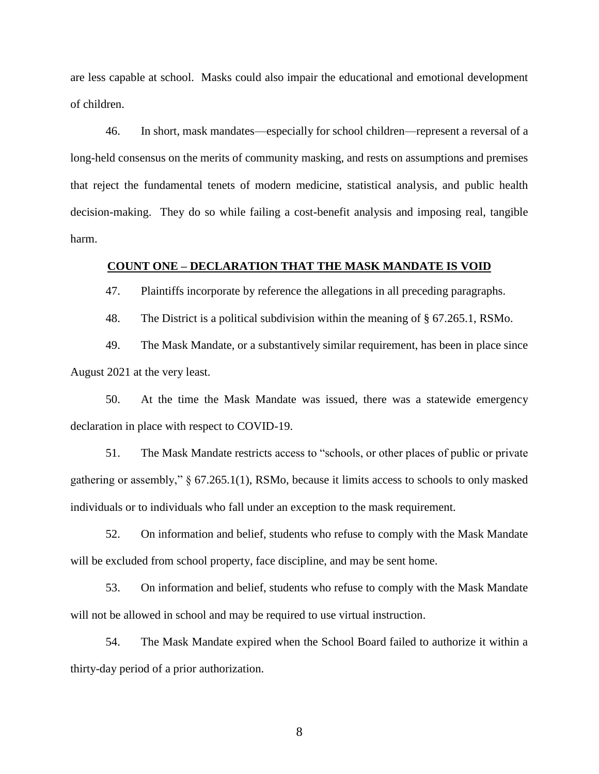are less capable at school. Masks could also impair the educational and emotional development of children.

46. In short, mask mandates—especially for school children—represent a reversal of a long-held consensus on the merits of community masking, and rests on assumptions and premises that reject the fundamental tenets of modern medicine, statistical analysis, and public health decision-making. They do so while failing a cost-benefit analysis and imposing real, tangible harm.

## **COUNT ONE – DECLARATION THAT THE MASK MANDATE IS VOID**

47. Plaintiffs incorporate by reference the allegations in all preceding paragraphs.

48. The District is a political subdivision within the meaning of § 67.265.1, RSMo.

49. The Mask Mandate, or a substantively similar requirement, has been in place since August 2021 at the very least.

50. At the time the Mask Mandate was issued, there was a statewide emergency declaration in place with respect to COVID-19.

51. The Mask Mandate restricts access to "schools, or other places of public or private gathering or assembly," § 67.265.1(1), RSMo, because it limits access to schools to only masked individuals or to individuals who fall under an exception to the mask requirement.

52. On information and belief, students who refuse to comply with the Mask Mandate will be excluded from school property, face discipline, and may be sent home.

53. On information and belief, students who refuse to comply with the Mask Mandate will not be allowed in school and may be required to use virtual instruction.

54. The Mask Mandate expired when the School Board failed to authorize it within a thirty-day period of a prior authorization.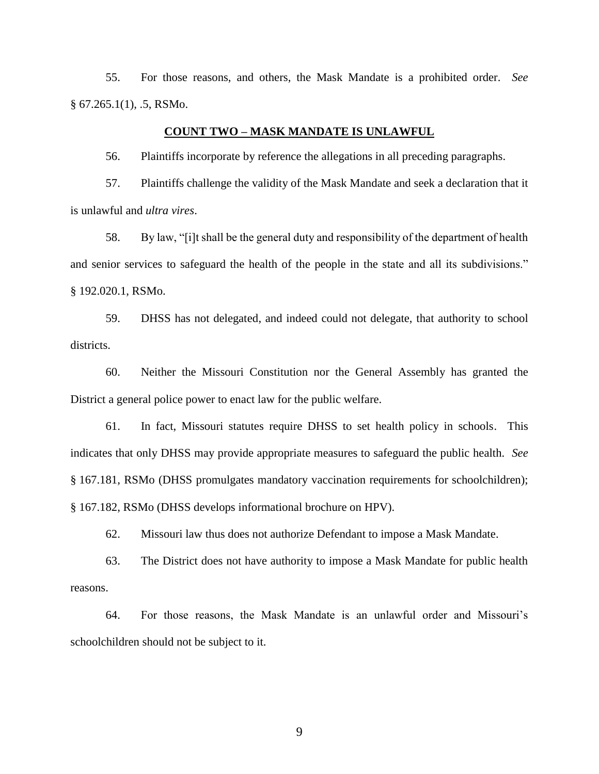55. For those reasons, and others, the Mask Mandate is a prohibited order. *See*   $§ 67.265.1(1), .5, RSMo.$ 

## **COUNT TWO – MASK MANDATE IS UNLAWFUL**

56. Plaintiffs incorporate by reference the allegations in all preceding paragraphs.

57. Plaintiffs challenge the validity of the Mask Mandate and seek a declaration that it is unlawful and *ultra vires*.

58. By law, "[i]t shall be the general duty and responsibility of the department of health and senior services to safeguard the health of the people in the state and all its subdivisions." § 192.020.1, RSMo.

59. DHSS has not delegated, and indeed could not delegate, that authority to school districts.

60. Neither the Missouri Constitution nor the General Assembly has granted the District a general police power to enact law for the public welfare.

61. In fact, Missouri statutes require DHSS to set health policy in schools. This indicates that only DHSS may provide appropriate measures to safeguard the public health. *See*  § 167.181, RSMo (DHSS promulgates mandatory vaccination requirements for schoolchildren); § 167.182, RSMo (DHSS develops informational brochure on HPV).

62. Missouri law thus does not authorize Defendant to impose a Mask Mandate.

63. The District does not have authority to impose a Mask Mandate for public health reasons.

64. For those reasons, the Mask Mandate is an unlawful order and Missouri's schoolchildren should not be subject to it.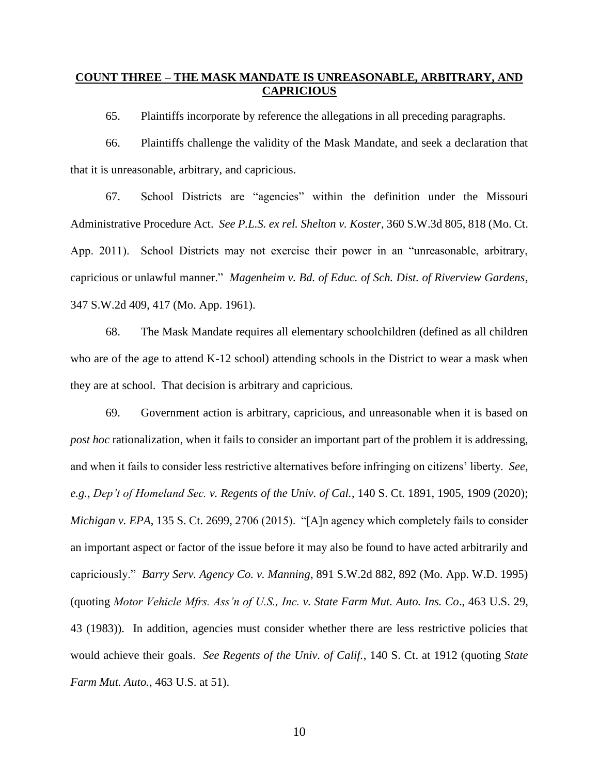# **COUNT THREE – THE MASK MANDATE IS UNREASONABLE, ARBITRARY, AND CAPRICIOUS**

65. Plaintiffs incorporate by reference the allegations in all preceding paragraphs.

66. Plaintiffs challenge the validity of the Mask Mandate, and seek a declaration that that it is unreasonable, arbitrary, and capricious.

67. School Districts are "agencies" within the definition under the Missouri Administrative Procedure Act. *See P.L.S. ex rel. Shelton v. Koster*, 360 S.W.3d 805, 818 (Mo. Ct. App. 2011). School Districts may not exercise their power in an "unreasonable, arbitrary, capricious or unlawful manner." *Magenheim v. Bd. of Educ. of Sch. Dist. of Riverview Gardens*, 347 S.W.2d 409, 417 (Mo. App. 1961).

68. The Mask Mandate requires all elementary schoolchildren (defined as all children who are of the age to attend K-12 school) attending schools in the District to wear a mask when they are at school. That decision is arbitrary and capricious.

69. Government action is arbitrary, capricious, and unreasonable when it is based on *post hoc* rationalization, when it fails to consider an important part of the problem it is addressing, and when it fails to consider less restrictive alternatives before infringing on citizens' liberty. *See*, *e.g.*, *Dep't of Homeland Sec. v. Regents of the Univ. of Cal.*, 140 S. Ct. 1891, 1905, 1909 (2020); *Michigan v. EPA*, 135 S. Ct. 2699, 2706 (2015). "[A]n agency which completely fails to consider an important aspect or factor of the issue before it may also be found to have acted arbitrarily and capriciously." *Barry Serv. Agency Co. v. Manning*, 891 S.W.2d 882, 892 (Mo. App. W.D. 1995) (quoting *Motor Vehicle Mfrs. Ass'n of U.S., Inc. v. State Farm Mut. Auto. Ins. Co*., 463 U.S. 29, 43 (1983)). In addition, agencies must consider whether there are less restrictive policies that would achieve their goals. *See Regents of the Univ. of Calif.*, 140 S. Ct. at 1912 (quoting *State Farm Mut. Auto.*, 463 U.S. at 51).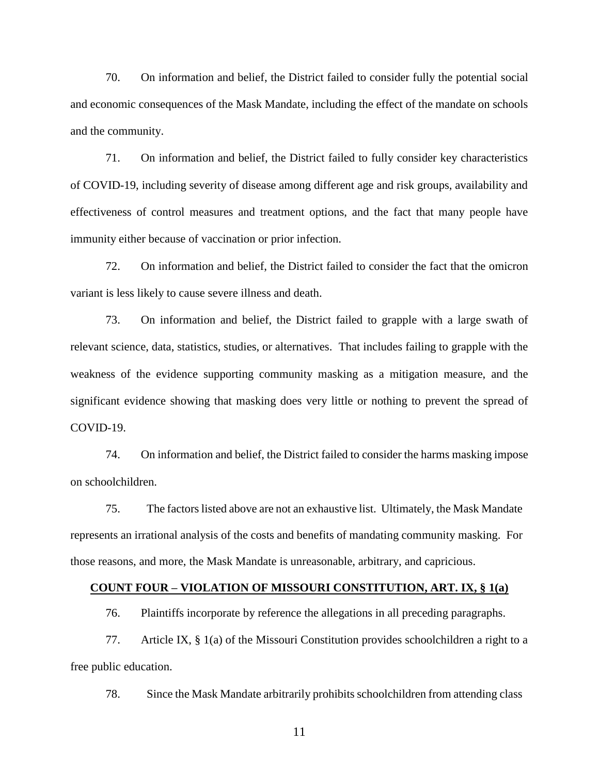70. On information and belief, the District failed to consider fully the potential social and economic consequences of the Mask Mandate, including the effect of the mandate on schools and the community.

71. On information and belief, the District failed to fully consider key characteristics of COVID-19, including severity of disease among different age and risk groups, availability and effectiveness of control measures and treatment options, and the fact that many people have immunity either because of vaccination or prior infection.

72. On information and belief, the District failed to consider the fact that the omicron variant is less likely to cause severe illness and death.

73. On information and belief, the District failed to grapple with a large swath of relevant science, data, statistics, studies, or alternatives. That includes failing to grapple with the weakness of the evidence supporting community masking as a mitigation measure, and the significant evidence showing that masking does very little or nothing to prevent the spread of COVID-19.

74. On information and belief, the District failed to consider the harms masking impose on schoolchildren.

75. The factors listed above are not an exhaustive list. Ultimately, the Mask Mandate represents an irrational analysis of the costs and benefits of mandating community masking. For those reasons, and more, the Mask Mandate is unreasonable, arbitrary, and capricious.

## **COUNT FOUR – VIOLATION OF MISSOURI CONSTITUTION, ART. IX, § 1(a)**

76. Plaintiffs incorporate by reference the allegations in all preceding paragraphs.

77. Article IX, § 1(a) of the Missouri Constitution provides schoolchildren a right to a free public education.

78. Since the Mask Mandate arbitrarily prohibits schoolchildren from attending class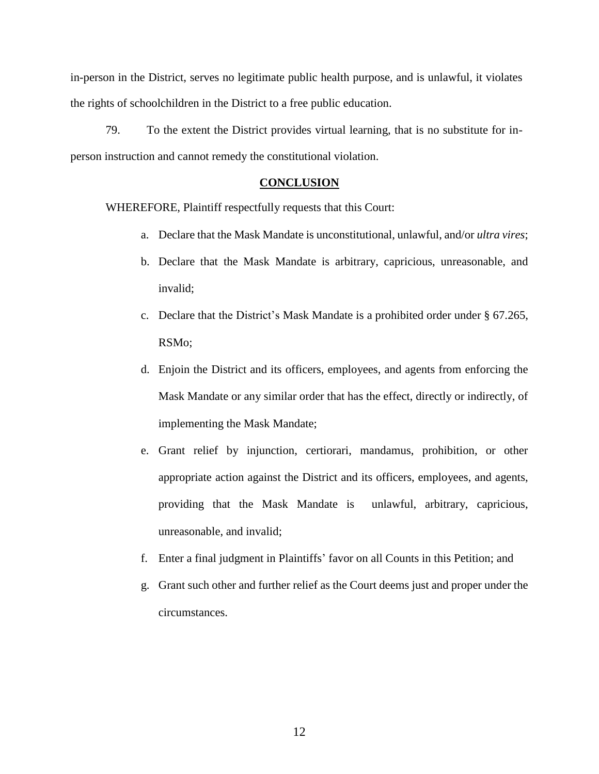in-person in the District, serves no legitimate public health purpose, and is unlawful, it violates the rights of schoolchildren in the District to a free public education.

79. To the extent the District provides virtual learning, that is no substitute for inperson instruction and cannot remedy the constitutional violation.

## **CONCLUSION**

WHEREFORE, Plaintiff respectfully requests that this Court:

- a. Declare that the Mask Mandate is unconstitutional, unlawful, and/or *ultra vires*;
- b. Declare that the Mask Mandate is arbitrary, capricious, unreasonable, and invalid;
- c. Declare that the District's Mask Mandate is a prohibited order under § 67.265, RSMo;
- d. Enjoin the District and its officers, employees, and agents from enforcing the Mask Mandate or any similar order that has the effect, directly or indirectly, of implementing the Mask Mandate;
- e. Grant relief by injunction, certiorari, mandamus, prohibition, or other appropriate action against the District and its officers, employees, and agents, providing that the Mask Mandate is unlawful, arbitrary, capricious, unreasonable, and invalid;
- f. Enter a final judgment in Plaintiffs' favor on all Counts in this Petition; and
- g. Grant such other and further relief as the Court deems just and proper under the circumstances.